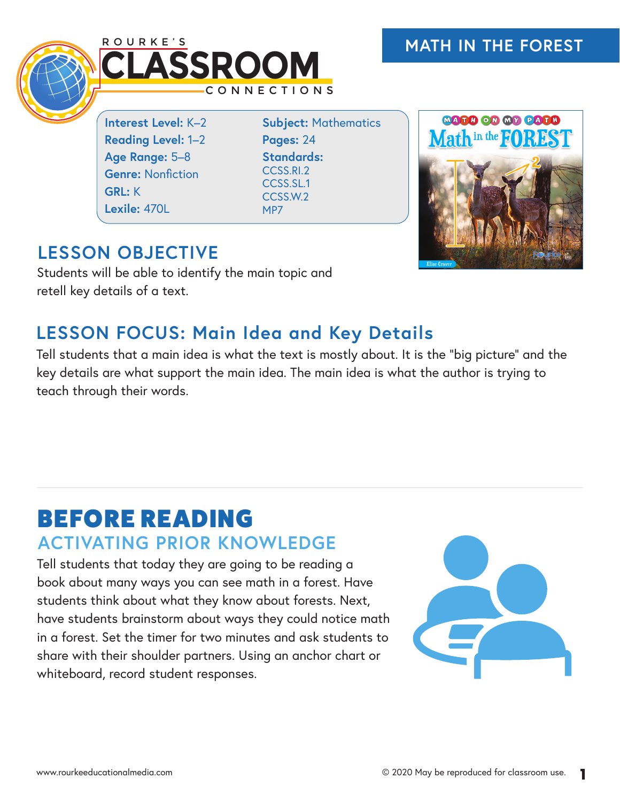

**Interest Level:** K–2 **Reading Level:** 1–2 **Age Range:** 5–8 **Genre:** Nonfiction **GRL:** K **Lexile:** 470L

**Subject:** Mathematics **Pages:** 24 **Standards:**  CCSS.RI.2 CCSS.SL.1 CCSS.W.2 MP7



## **LESSON OBJECTIVE**

Students will be able to identify the main topic and retell key details of a text.

## **LESSON FOCUS: Main Idea and Key Details**

Tell students that a main idea is what the text is mostly about. It is the "big picture" and the key details are what support the main idea. The main idea is what the author is trying to teach through their words.

## BEFORE READING **ACTIVATING PRIOR KNOWLEDGE**

Tell students that today they are going to be reading a book about many ways you can see math in a forest. Have students think about what they know about forests. Next, have students brainstorm about ways they could notice math in a forest. Set the timer for two minutes and ask students to share with their shoulder partners. Using an anchor chart or whiteboard, record student responses.

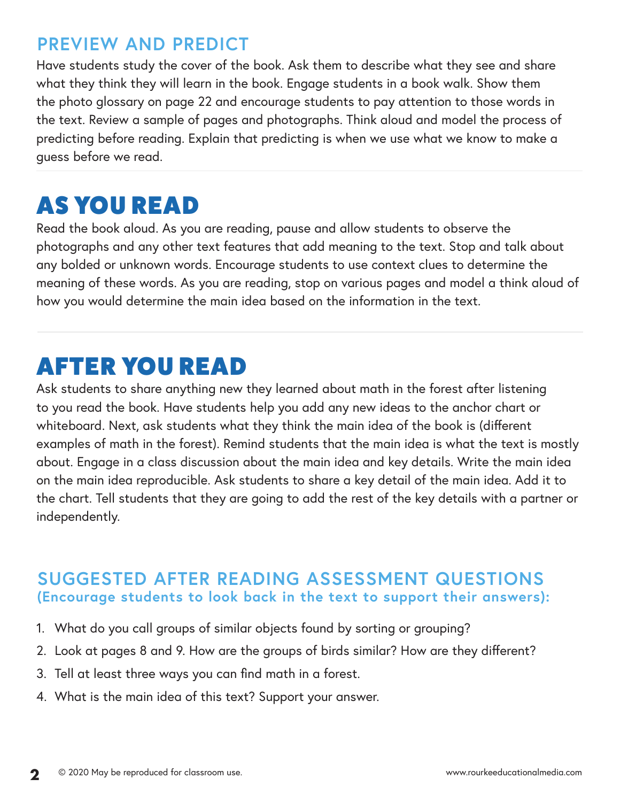### **PREVIEW AND PREDICT**

Have students study the cover of the book. Ask them to describe what they see and share what they think they will learn in the book. Engage students in a book walk. Show them the photo glossary on page 22 and encourage students to pay attention to those words in the text. Review a sample of pages and photographs. Think aloud and model the process of predicting before reading. Explain that predicting is when we use what we know to make a guess before we read.

# AS YOU READ

Read the book aloud. As you are reading, pause and allow students to observe the photographs and any other text features that add meaning to the text. Stop and talk about any bolded or unknown words. Encourage students to use context clues to determine the meaning of these words. As you are reading, stop on various pages and model a think aloud of how you would determine the main idea based on the information in the text.

# AFTER YOU READ

Ask students to share anything new they learned about math in the forest after listening to you read the book. Have students help you add any new ideas to the anchor chart or whiteboard. Next, ask students what they think the main idea of the book is (different examples of math in the forest). Remind students that the main idea is what the text is mostly about. Engage in a class discussion about the main idea and key details. Write the main idea on the main idea reproducible. Ask students to share a key detail of the main idea. Add it to the chart. Tell students that they are going to add the rest of the key details with a partner or independently.

#### **SUGGESTED AFTER READING ASSESSMENT QUESTIONS (Encourage students to look back in the text to support their answers):**

- 1. What do you call groups of similar objects found by sorting or grouping?
- 2. Look at pages 8 and 9. How are the groups of birds similar? How are they different?
- 3. Tell at least three ways you can find math in a forest.
- 4. What is the main idea of this text? Support your answer.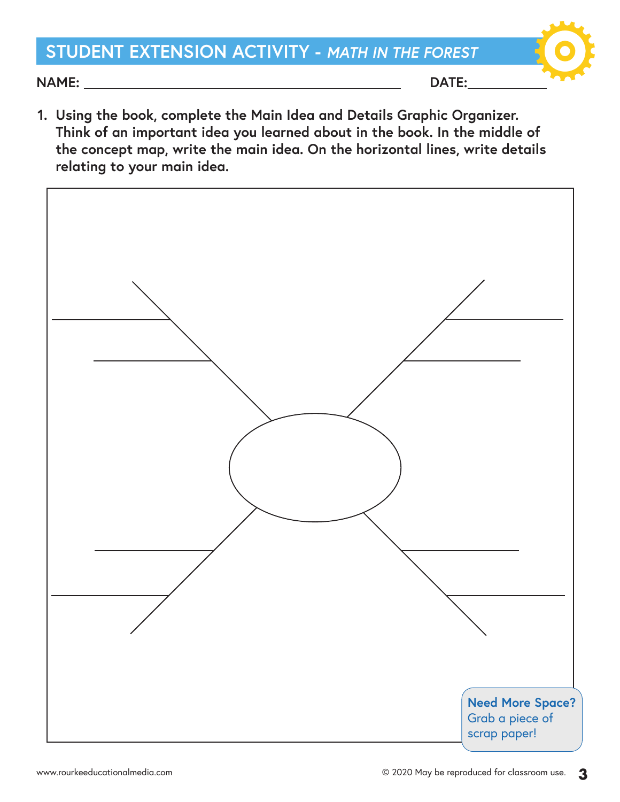## **STUDENT EXTENSION ACTIVITY -** *MATH IN THE FOREST*

**NAME: DATE:** 

**1. Using the book, complete the Main Idea and Details Graphic Organizer. Think of an important idea you learned about in the book. In the middle of the concept map, write the main idea. On the horizontal lines, write details relating to your main idea.**